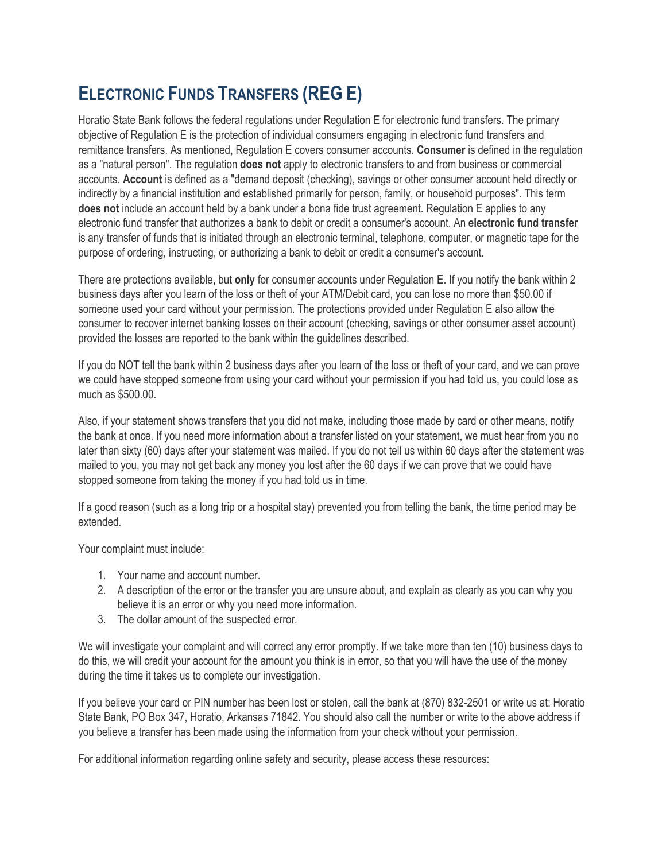## **ELECTRONIC FUNDS TRANSFERS (REG E)**

Horatio State Bank follows the federal regulations under Regulation E for electronic fund transfers. The primary objective of Regulation E is the protection of individual consumers engaging in electronic fund transfers and remittance transfers. As mentioned, Regulation E covers consumer accounts. **Consumer** is defined in the regulation as a "natural person". The regulation **does not** apply to electronic transfers to and from business or commercial accounts. **Account** is defined as a "demand deposit (checking), savings or other consumer account held directly or indirectly by a financial institution and established primarily for person, family, or household purposes". This term **does not** include an account held by a bank under a bona fide trust agreement. Regulation E applies to any electronic fund transfer that authorizes a bank to debit or credit a consumer's account. An **electronic fund transfer** is any transfer of funds that is initiated through an electronic terminal, telephone, computer, or magnetic tape for the purpose of ordering, instructing, or authorizing a bank to debit or credit a consumer's account.

There are protections available, but **only** for consumer accounts under Regulation E. If you notify the bank within 2 business days after you learn of the loss or theft of your ATM/Debit card, you can lose no more than \$50.00 if someone used your card without your permission. The protections provided under Regulation E also allow the consumer to recover internet banking losses on their account (checking, savings or other consumer asset account) provided the losses are reported to the bank within the guidelines described.

If you do NOT tell the bank within 2 business days after you learn of the loss or theft of your card, and we can prove we could have stopped someone from using your card without your permission if you had told us, you could lose as much as \$500.00.

Also, if your statement shows transfers that you did not make, including those made by card or other means, notify the bank at once. If you need more information about a transfer listed on your statement, we must hear from you no later than sixty (60) days after your statement was mailed. If you do not tell us within 60 days after the statement was mailed to you, you may not get back any money you lost after the 60 days if we can prove that we could have stopped someone from taking the money if you had told us in time.

If a good reason (such as a long trip or a hospital stay) prevented you from telling the bank, the time period may be extended.

Your complaint must include:

- 1. Your name and account number.
- 2. A description of the error or the transfer you are unsure about, and explain as clearly as you can why you believe it is an error or why you need more information.
- 3. The dollar amount of the suspected error.

We will investigate your complaint and will correct any error promptly. If we take more than ten (10) business days to do this, we will credit your account for the amount you think is in error, so that you will have the use of the money during the time it takes us to complete our investigation.

If you believe your card or PIN number has been lost or stolen, call the bank at (870) 832-2501 or write us at: Horatio State Bank, PO Box 347, Horatio, Arkansas 71842. You should also call the number or write to the above address if you believe a transfer has been made using the information from your check without your permission.

For additional information regarding online safety and security, please access these resources: